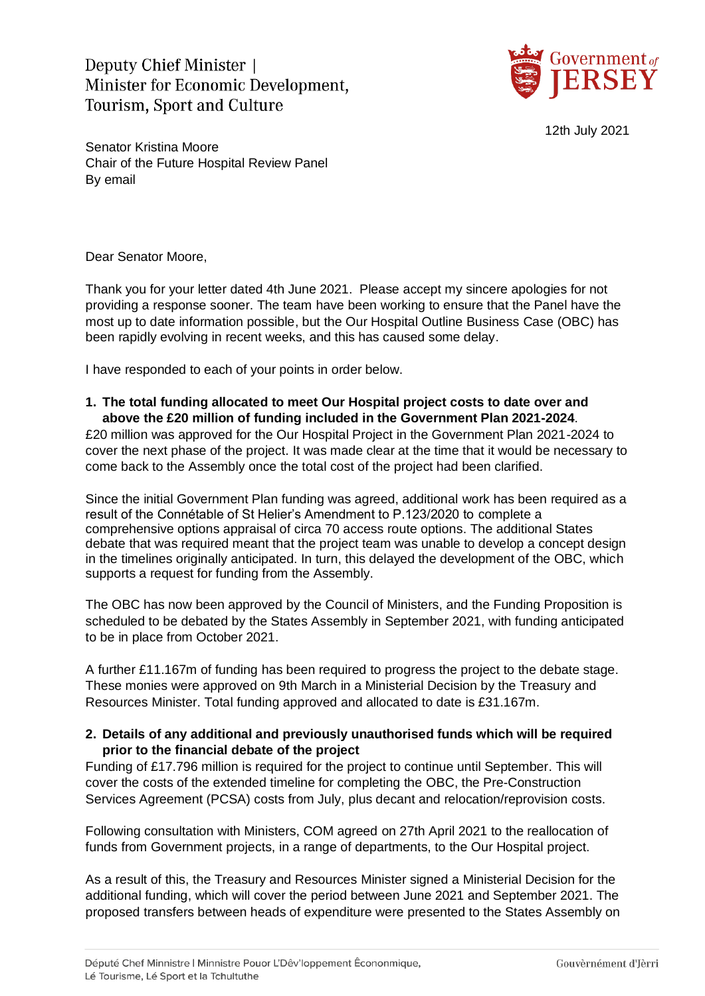Deputy Chief Minister Minister for Economic Development. **Tourism, Sport and Culture** 



12th July 2021

Senator Kristina Moore Chair of the Future Hospital Review Panel By email

Dear Senator Moore,

Thank you for your letter dated 4th June 2021. Please accept my sincere apologies for not providing a response sooner. The team have been working to ensure that the Panel have the most up to date information possible, but the Our Hospital Outline Business Case (OBC) has been rapidly evolving in recent weeks, and this has caused some delay.

I have responded to each of your points in order below.

## **1. The total funding allocated to meet Our Hospital project costs to date over and above the £20 million of funding included in the Government Plan 2021-2024**.

£20 million was approved for the Our Hospital Project in the Government Plan 2021-2024 to cover the next phase of the project. It was made clear at the time that it would be necessary to come back to the Assembly once the total cost of the project had been clarified.

Since the initial Government Plan funding was agreed, additional work has been required as a result of the Connétable of St Helier's Amendment to P.123/2020 to complete a comprehensive options appraisal of circa 70 access route options. The additional States debate that was required meant that the project team was unable to develop a concept design in the timelines originally anticipated. In turn, this delayed the development of the OBC, which supports a request for funding from the Assembly.

The OBC has now been approved by the Council of Ministers, and the Funding Proposition is scheduled to be debated by the States Assembly in September 2021, with funding anticipated to be in place from October 2021.

A further £11.167m of funding has been required to progress the project to the debate stage. These monies were approved on 9th March in a Ministerial Decision by the Treasury and Resources Minister. Total funding approved and allocated to date is £31.167m.

## **2. Details of any additional and previously unauthorised funds which will be required prior to the financial debate of the project**

Funding of £17.796 million is required for the project to continue until September. This will cover the costs of the extended timeline for completing the OBC, the Pre-Construction Services Agreement (PCSA) costs from July, plus decant and relocation/reprovision costs.

Following consultation with Ministers, COM agreed on 27th April 2021 to the reallocation of funds from Government projects, in a range of departments, to the Our Hospital project.

As a result of this, the Treasury and Resources Minister signed a Ministerial Decision for the additional funding, which will cover the period between June 2021 and September 2021. The proposed transfers between heads of expenditure were presented to the States Assembly on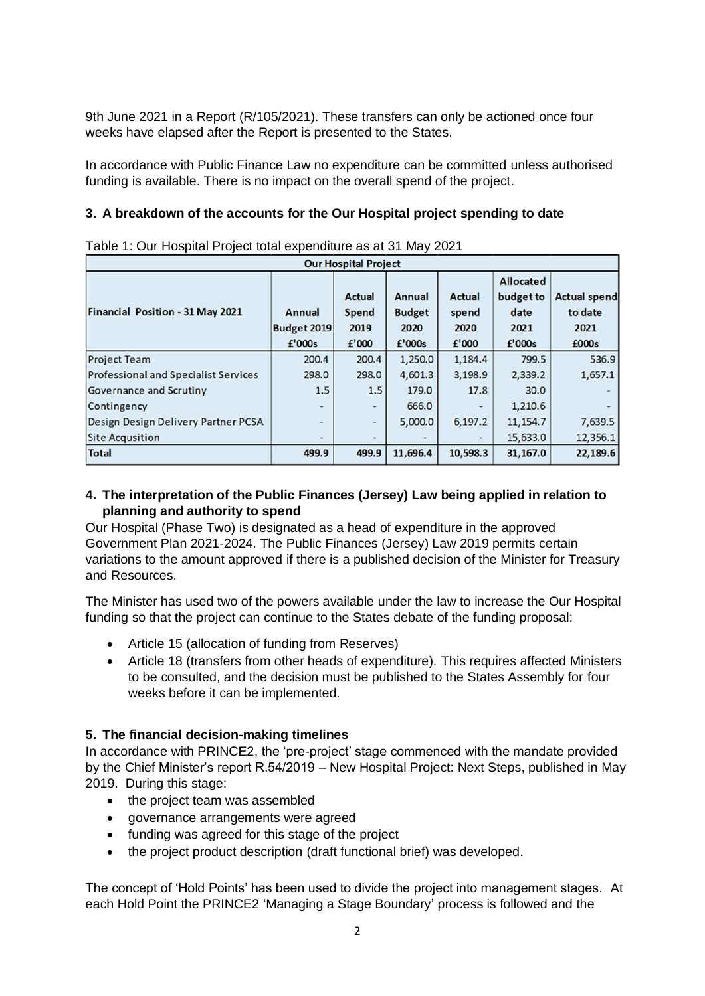9th June 2021 in a Report (R/105/2021). These transfers can only be actioned once four weeks have elapsed after the Report is presented to the States.

In accordance with Public Finance Law no expenditure can be committed unless authorised funding is available. There is no impact on the overall spend of the project.

#### **3. A breakdown of the accounts for the Our Hospital project spending to date**

| <b>Our Hospital Project</b>                 |                                               |                                                |                                                  |                                         |                                                         |                                                 |
|---------------------------------------------|-----------------------------------------------|------------------------------------------------|--------------------------------------------------|-----------------------------------------|---------------------------------------------------------|-------------------------------------------------|
| Financial Position - 31 May 2021            | <b>Annual</b><br><b>Budget 2019</b><br>£'000s | <b>Actual</b><br><b>Spend</b><br>2019<br>£'000 | <b>Annual</b><br><b>Budget</b><br>2020<br>£'000s | <b>Actual</b><br>spend<br>2020<br>£'000 | <b>Allocated</b><br>budget to<br>date<br>2021<br>£'000s | <b>Actual spend</b><br>to date<br>2021<br>£000s |
| <b>Project Team</b>                         | 200.4                                         | 200.4                                          | 1,250.0                                          | 1,184.4                                 | 799.5                                                   | 536.9                                           |
| <b>Professional and Specialist Services</b> | 298.0                                         | 298.0                                          | 4,601.3                                          | 3,198.9                                 | 2,339.2                                                 | 1,657.1                                         |
| Governance and Scrutiny                     | 1.5                                           | 1.5                                            | 179.0                                            | 17.8                                    | 30.0                                                    |                                                 |
| Contingency                                 |                                               | $\overline{\phantom{0}}$                       | 666.0                                            |                                         | 1,210.6                                                 |                                                 |
| Design Design Delivery Partner PCSA         | ۰                                             | $\frac{1}{2}$                                  | 5,000.0                                          | 6,197.2                                 | 11, 154.7                                               | 7,639.5                                         |
| <b>Site Acqusition</b>                      |                                               | $\overline{\phantom{a}}$                       |                                                  |                                         | 15,633.0                                                | 12,356.1                                        |
| <b>Total</b>                                | 499.9                                         | 499.9                                          | 11,696.4                                         | 10,598.3                                | 31,167.0                                                | 22,189.6                                        |

Table 1: Our Hospital Project total expenditure as at 31 May 2021

## **4. The interpretation of the Public Finances (Jersey) Law being applied in relation to planning and authority to spend**

Our Hospital (Phase Two) is designated as a head of expenditure in the approved Government Plan 2021-2024. The Public Finances (Jersey) Law 2019 permits certain variations to the amount approved if there is a published decision of the Minister for Treasury and Resources.

The Minister has used two of the powers available under the law to increase the Our Hospital funding so that the project can continue to the States debate of the funding proposal:

- Article 15 (allocation of funding from Reserves)
- Article 18 (transfers from other heads of expenditure). This requires affected Ministers to be consulted, and the decision must be published to the States Assembly for four weeks before it can be implemented.

### **5. The financial decision-making timelines**

In accordance with PRINCE2, the 'pre-project' stage commenced with the mandate provided by the Chief Minister's report R.54/2019 – New Hospital Project: Next Steps, published in May 2019. During this stage:

- the project team was assembled
- governance arrangements were agreed
- funding was agreed for this stage of the project
- the project product description (draft functional brief) was developed.

The concept of 'Hold Points' has been used to divide the project into management stages. At each Hold Point the PRINCE2 'Managing a Stage Boundary' process is followed and the